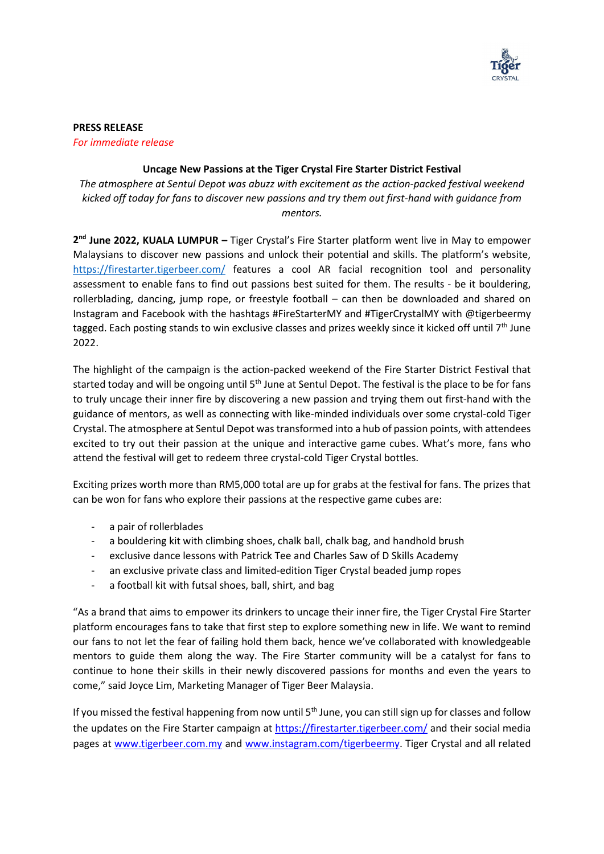

**PRESS RELEASE**

*For immediate release*

## **Uncage New Passions at the Tiger Crystal Fire Starter District Festival**

*The atmosphere at Sentul Depot was abuzz with excitement as the action-packed festival weekend kicked off today for fans to discover new passions and try them out first-hand with guidance from mentors.*

2<sup>nd</sup> June 2022, KUALA LUMPUR - Tiger Crystal's Fire Starter platform went live in May to empower Malaysians to discover new passions and unlock their potential and skills. The platform's website, <https://firestarter.tigerbeer.com/> features a cool AR facial recognition tool and personality assessment to enable fans to find out passions best suited for them. The results - be it bouldering, rollerblading, dancing, jump rope, or freestyle football – can then be downloaded and shared on Instagram and Facebook with the hashtags #FireStarterMY and #TigerCrystalMY with @tigerbeermy tagged. Each posting stands to win exclusive classes and prizes weekly since it kicked off until 7<sup>th</sup> June 2022.

The highlight of the campaign is the action-packed weekend of the Fire Starter District Festival that started today and will be ongoing until 5<sup>th</sup> June at Sentul Depot. The festival is the place to be for fans to truly uncage their inner fire by discovering a new passion and trying them out first-hand with the guidance of mentors, as well as connecting with like-minded individuals over some crystal-cold Tiger Crystal. The atmosphere at Sentul Depot was transformed into a hub of passion points, with attendees excited to try out their passion at the unique and interactive game cubes. What's more, fans who attend the festival will get to redeem three crystal-cold Tiger Crystal bottles.

Exciting prizes worth more than RM5,000 total are up for grabs at the festival for fans. The prizes that can be won for fans who explore their passions at the respective game cubes are:

- a pair of rollerblades
- a bouldering kit with climbing shoes, chalk ball, chalk bag, and handhold brush
- exclusive dance lessons with Patrick Tee and Charles Saw of D Skills Academy
- an exclusive private class and limited-edition Tiger Crystal beaded jump ropes
- a football kit with futsal shoes, ball, shirt, and bag

"As a brand that aims to empower its drinkers to uncage their inner fire, the Tiger Crystal Fire Starter platform encourages fans to take that first step to explore something new in life. We want to remind our fans to not let the fear of failing hold them back, hence we've collaborated with knowledgeable mentors to guide them along the way. The Fire Starter community will be a catalyst for fans to continue to hone their skills in their newly discovered passions for months and even the years to come," said Joyce Lim, Marketing Manager of Tiger Beer Malaysia.

If you missed the festival happening from now until 5<sup>th</sup> June, you can still sign up for classes and follow the updates on the Fire Starter campaign at<https://firestarter.tigerbeer.com/> and their social media pages at [www.tigerbeer.com.my](http://www.tigerbeer.com.my/) and [www.instagram.com/tigerbeermy.](http://www.instagram.com/tigerbeermy) Tiger Crystal and all related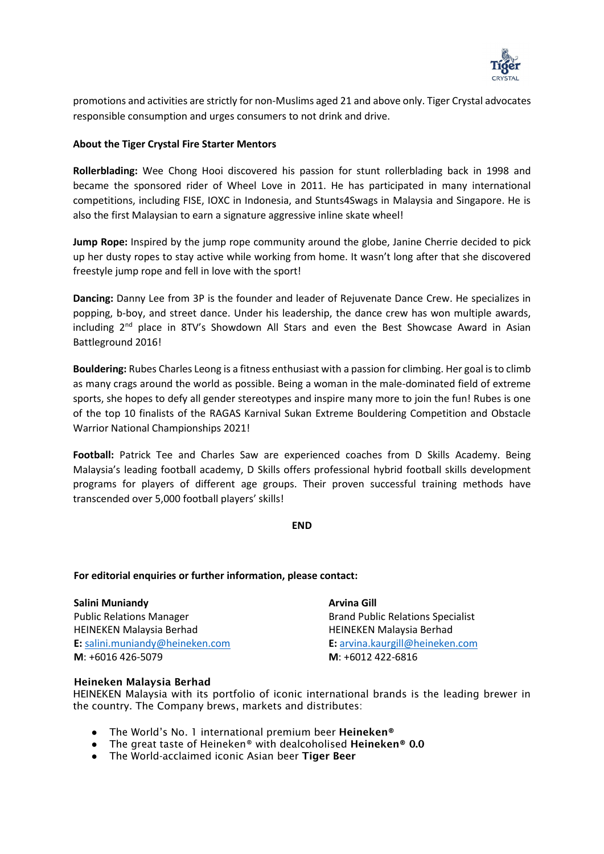

promotions and activities are strictly for non-Muslims aged 21 and above only. Tiger Crystal advocates responsible consumption and urges consumers to not drink and drive.

## **About the Tiger Crystal Fire Starter Mentors**

**Rollerblading:** Wee Chong Hooi discovered his passion for stunt rollerblading back in 1998 and became the sponsored rider of Wheel Love in 2011. He has participated in many international competitions, including FISE, IOXC in Indonesia, and Stunts4Swags in Malaysia and Singapore. He is also the first Malaysian to earn a signature aggressive inline skate wheel!

**Jump Rope:** Inspired by the jump rope community around the globe, Janine Cherrie decided to pick up her dusty ropes to stay active while working from home. It wasn't long after that she discovered freestyle jump rope and fell in love with the sport!

**Dancing:** Danny Lee from 3P is the founder and leader of Rejuvenate Dance Crew. He specializes in popping, b-boy, and street dance. Under his leadership, the dance crew has won multiple awards, including 2<sup>nd</sup> place in 8TV's Showdown All Stars and even the Best Showcase Award in Asian Battleground 2016!

**Bouldering:** Rubes Charles Leong is a fitness enthusiast with a passion for climbing. Her goal is to climb as many crags around the world as possible. Being a woman in the male-dominated field of extreme sports, she hopes to defy all gender stereotypes and inspire many more to join the fun! Rubes is one of the top 10 finalists of the RAGAS Karnival Sukan Extreme Bouldering Competition and Obstacle Warrior National Championships 2021!

**Football:** Patrick Tee and Charles Saw are experienced coaches from D Skills Academy. Being Malaysia's leading football academy, D Skills offers professional hybrid football skills development programs for players of different age groups. Their proven successful training methods have transcended over 5,000 football players' skills!

**END**

## **For editorial enquiries or further information, please contact:**

| Salini Muniandy                 | <b>Arvina Gill</b>                       |
|---------------------------------|------------------------------------------|
| <b>Public Relations Manager</b> | <b>Brand Public Relations Specialist</b> |
| <b>HEINEKEN Malaysia Berhad</b> | <b>HEINEKEN Malaysia Berhad</b>          |
| E: salini.muniandy@heineken.com | E: arvina.kaurgill@heineken.com          |
| $M: +6016426-5079$              | $M: +6012422-6816$                       |

## Heineken Malaysia Berhad

HEINEKEN Malaysia with its portfolio of iconic international brands is the leading brewer in the country. The Company brews, markets and distributes:

- The World's No. 1 international premium beer Heineken®
- The great taste of Heineken® with dealcoholised Heineken® 0.0
- The World-acclaimed iconic Asian beer Tiger Beer